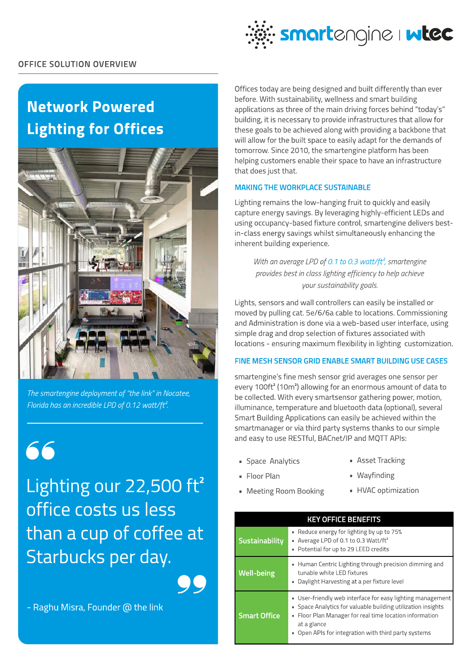

# Network Powered Lighting for Offices



The smartengine deployment of "the link" in Nocatee, Florida has an incredible LPD of 0.12 watt/ft<sup>2</sup>.

66

Lighting our  $22,500$  ft<sup>2</sup> office costs us less than a cup of coffee at Starbucks per day.

99

- Raghu Misra, Founder @ the link

Offices today are being designed and built differently than ever before. With sustainability, wellness and smart building applications as three of the main driving forces behind "today's" building, it is necessary to provide infrastructures that allow for these goals to be achieved along with providing a backbone that will allow for the built space to easily adapt for the demands of tomorrow. Since 2010, the smartengine platform has been helping customers enable their space to have an infrastructure that does just that.

## Making the Workplace Sustainable

Lighting remains the low-hanging fruit to quickly and easily capture energy savings. By leveraging highly-efficient LEDs and using occupancy-based fixture control, smartengine delivers bestin-class energy savings whilst simultaneously enhancing the inherent building experience.

With an average LPD of 0.1 to 0.3 watt/ft<sup>2</sup>, smartengine provides best in class lighting efficiency to help achieve your sustainability goals.

Lights, sensors and wall controllers can easily be installed or moved by pulling cat. 5e/6/6a cable to locations. Commissioning and Administration is done via a web-based user interface, using simple drag and drop selection of fixtures associated with locations - ensuring maximum flexibility in lighting customization.

### Fine Mesh Sensor Grid Enable Smart Building Use Cases

smartengine's fine mesh sensor grid averages one sensor per every 100ft<sup>2</sup> (10m<sup>2</sup>) allowing for an enormous amount of data to be collected. With every smartsensor gathering power, motion, illuminance, temperature and bluetooth data (optional), several Smart Building Applications can easily be achieved within the smartmanager or via third party systems thanks to our simple and easy to use RESTful, BACnet/IP and MQTT APIs:

- **Space Analytics**
- **Asset Tracking**

• Floor Plan

- **Wayfinding**
- Meeting Room Booking
- **HVAC** optimization

| <b>KEY OFFICE BENEFITS</b> |                                                                                                                                                                                                                                                                      |
|----------------------------|----------------------------------------------------------------------------------------------------------------------------------------------------------------------------------------------------------------------------------------------------------------------|
| Sustainability             | • Reduce energy for lighting by up to 75%<br>Average LPD of 0.1 to 0.3 Watt/ft <sup>2</sup><br>×.<br>Potential for up to 29 LEED credits<br>u,                                                                                                                       |
| <b>Well-being</b>          | • Human Centric Lighting through precision dimming and<br>tunable white LED fixtures<br>Daylight Harvesting at a per fixture level<br>×,                                                                                                                             |
| <b>Smart Office</b>        | • User-friendly web interface for easy lighting management<br>• Space Analytics for valuable building utilization insights<br>Floor Plan Manager for real time location information<br>u,<br>at a glance<br>Open APIs for integration with third party systems<br>g, |